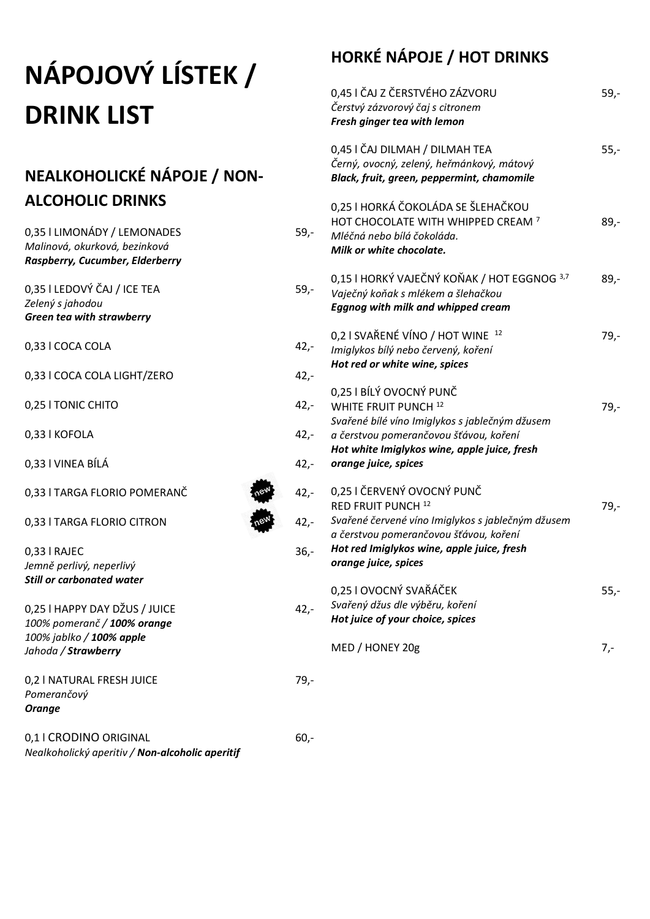# **NÁPOJOVÝ LÍSTEK / DRINK LIST**

#### **NEALKOHOLICKÉ NÁPOJE / NON-ALCOHOLIC DRINKS**

| 0,35   LIMONÁDY / LEMONADES<br>Malinová, okurková, bezinková<br>Raspberry, Cucumber, Elderberry                 | $59,-$ | Ml<br>Mi               |
|-----------------------------------------------------------------------------------------------------------------|--------|------------------------|
| 0,35 I LEDOVÝ ČAJ / ICE TEA<br>Zelený s jahodou<br><b>Green tea with strawberry</b>                             | $59,-$ | 0,1<br>Va<br>Eg        |
| 0,33 I COCA COLA                                                                                                | $42,-$ | 0,2<br>Im.             |
| 0,33 I COCA COLA LIGHT/ZERO                                                                                     | $42,-$ | Ho                     |
| 0,25   TONIC CHITO                                                                                              | $42,-$ | 0,2<br>WI              |
| 0,33   KOFOLA                                                                                                   | $42,-$ | Svo<br>аč              |
| 0,33 I VINEA BÍLÁ                                                                                               | $42 -$ | Ho<br>oro              |
| 0,33   TARGA FLORIO POMERANČ                                                                                    | $42,-$ | 0,2                    |
| 0,33   TARGA FLORIO CITRON                                                                                      | $42,-$ | <b>RE</b><br>Svo<br>аč |
| 0,33   RAJEC<br>Jemně perlivý, neperlivý<br><b>Still or carbonated water</b>                                    | $36 -$ | Ho<br>oro              |
| 0,25 I HAPPY DAY DŽUS / JUICE<br>100% pomeranč / 100% orange<br>100% jablko / 100% apple<br>Jahoda / Strawberry | $42,-$ | 0,2<br>Svo<br>Ho<br>M  |
| 0,2   NATURAL FRESH JUICE<br>Pomerančový<br><b>Orange</b>                                                       | 79,-   |                        |
| 0,1   CRODINO ORIGINAL<br>Nealkoholický aperitiv / Non-alcoholic aperitif                                       | $60 -$ |                        |

### **HORKÉ NÁPOJE / HOT DRINKS**

|                                  | 0,45 I ČAJ Z ČERSTVÉHO ZÁZVORU<br>Čerstvý zázvorový čaj s citronem<br>Fresh ginger tea with lemon                                                                                                                                | $59,-$ |
|----------------------------------|----------------------------------------------------------------------------------------------------------------------------------------------------------------------------------------------------------------------------------|--------|
|                                  | 0,45 I ČAJ DILMAH / DILMAH TEA<br>Černý, ovocný, zelený, heřmánkový, mátový<br>Black, fruit, green, peppermint, chamomile                                                                                                        | $55,-$ |
| -,ا                              | 0,25 I HORKÁ ČOKOLÁDA SE ŠLEHAČKOU<br>HOT CHOCOLATE WITH WHIPPED CREAM <sup>7</sup><br>Mléčná nebo bílá čokoláda.<br>Milk or white chocolate.                                                                                    | 89,-   |
| -,ا                              | 0,15 I HORKÝ VAJEČNÝ KOŇAK / HOT EGGNOG 3,7<br>Vaječný koňak s mlékem a šlehačkou<br><b>Eggnog with milk and whipped cream</b>                                                                                                   | 89,-   |
| $\cdot$ , –<br>$\cdot$           | 0,2 I SVAŘENÉ VÍNO / HOT WINE 12<br>Imiglykos bílý nebo červený, koření<br>Hot red or white wine, spices                                                                                                                         | $79,-$ |
| $\cdot$<br>$\cdot$ ,-<br>$\cdot$ | 0,25 I BÍLÝ OVOCNÝ PUNČ<br>WHITE FRUIT PUNCH <sup>12</sup><br>Svařené bílé víno Imiglykos s jablečným džusem<br>a čerstvou pomerančovou šťávou, koření<br>Hot white Imiglykos wine, apple juice, fresh<br>orange juice, spices   | $79,-$ |
| $\cdot$<br>$\cdot$<br>.<br>,-    | 0,25 I ČERVENÝ OVOCNÝ PUNČ<br>RED FRUIT PUNCH <sup>12</sup><br>Svařené červené víno Imiglykos s jablečným džusem<br>a čerstvou pomerančovou šťávou, koření<br>Hot red Imiglykos wine, apple juice, fresh<br>orange juice, spices | 79,-   |
|                                  | 0,25 I OVOCNÝ SVAŘÁČEK<br>Svařený džus dle výběru, koření<br>Hot juice of your choice, spices                                                                                                                                    | $55,-$ |
|                                  | MED / HONEY 20g                                                                                                                                                                                                                  | 7,-    |
|                                  |                                                                                                                                                                                                                                  |        |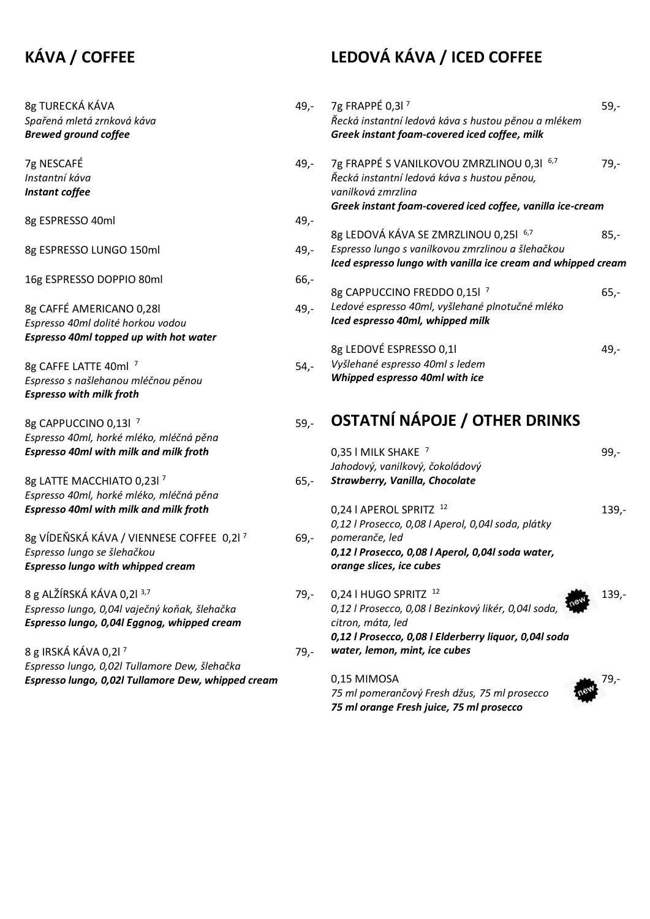#### **KÁVA / COFFEE**

## **LEDOVÁ KÁVA / ICED COFFEE**  $49 - 79$  FRAPPÉ 0,3l <sup>7</sup> 59,-

| 8g TURECKÁ KÁVA<br>Spařená mletá zrnková káva<br><b>Brewed ground coffee</b>                                                          | 49,-   | 7g FRAPPÉ 0,3l <sup>7</sup><br>Řecká instantní ledová káva s hustou pěnou a mlékem<br>Greek instant foam-covered iced coffee, milk                                          | $59,-$   |
|---------------------------------------------------------------------------------------------------------------------------------------|--------|-----------------------------------------------------------------------------------------------------------------------------------------------------------------------------|----------|
| 7g NESCAFÉ<br>Instantní káva<br>Instant coffee                                                                                        | 49,-   | 7g FRAPPÉ S VANILKOVOU ZMRZLINOU 0,31 6,7<br>Řecká instantní ledová káva s hustou pěnou,<br>vanilková zmrzlina<br>Greek instant foam-covered iced coffee, vanilla ice-cream | $79,-$   |
| 8g ESPRESSO 40ml                                                                                                                      | 49,-   |                                                                                                                                                                             |          |
| 8g ESPRESSO LUNGO 150ml                                                                                                               | 49,-   | 8g LEDOVÁ KÁVA SE ZMRZLINOU 0,251 6,7<br>Espresso lungo s vanilkovou zmrzlinou a šlehačkou<br>Iced espresso lungo with vanilla ice cream and whipped cream                  | $85,-$   |
| 16g ESPRESSO DOPPIO 80ml                                                                                                              | $66,-$ | 8g CAPPUCCINO FREDDO 0,15l <sup>7</sup>                                                                                                                                     | $65,-$   |
| 8g CAFFÉ AMERICANO 0,28l<br>Espresso 40ml dolité horkou vodou                                                                         | 49,-   | Ledové espresso 40ml, vyšlehané plnotučné mléko<br>Iced espresso 40ml, whipped milk                                                                                         |          |
| Espresso 40ml topped up with hot water                                                                                                |        | 8g LEDOVÉ ESPRESSO 0,11                                                                                                                                                     | 49,-     |
| 8g CAFFE LATTE 40ml <sup>7</sup><br>Espresso s našlehanou mléčnou pěnou<br><b>Espresso with milk froth</b>                            | $54,-$ | Vyšlehané espresso 40ml s ledem<br>Whipped espresso 40ml with ice                                                                                                           |          |
| 8g CAPPUCCINO 0,13l <sup>7</sup><br>Espresso 40ml, horké mléko, mléčná pěna                                                           | $59 -$ | <b>OSTATNÍ NÁPOJE / OTHER DRINKS</b>                                                                                                                                        |          |
| <b>Espresso 40ml with milk and milk froth</b>                                                                                         |        | 0,35   MILK SHAKE 7<br>Jahodový, vanilkový, čokoládový                                                                                                                      | $99,-$   |
| 8g LATTE MACCHIATO 0,23l <sup>7</sup><br>Espresso 40ml, horké mléko, mléčná pěna                                                      | $65,-$ | Strawberry, Vanilla, Chocolate                                                                                                                                              |          |
| <b>Espresso 40ml with milk and milk froth</b>                                                                                         |        | 0,24   APEROL SPRITZ <sup>12</sup><br>0,12   Prosecco, 0,08   Aperol, 0,04  soda, plátky                                                                                    | $139. -$ |
| 8g VÍDEŇSKÁ KÁVA / VIENNESE COFFEE 0,21 <sup>7</sup><br>Espresso lungo se šlehačkou<br><b>Espresso lungo with whipped cream</b>       | $69,-$ | pomeranče, led<br>0,12   Prosecco, 0,08   Aperol, 0,04  soda water,<br>orange slices, ice cubes                                                                             |          |
|                                                                                                                                       |        |                                                                                                                                                                             |          |
| 8 g ALŽÍRSKÁ KÁVA 0,21 <sup>3,7</sup><br>Espresso lungo, 0,04l vaječný koňak, šlehačka<br>Espresso lungo, 0,04l Eggnog, whipped cream | $79,-$ | 0,24 HUGO SPRITZ <sup>12</sup><br>0,12 l Prosecco, 0,08 l Bezinkový likér, 0,04l soda,<br>citron, máta, led<br>0,12   Prosecco, 0,08   Elderberry liquor, 0,04  soda        | $139, -$ |
| 8 g IRSKÁ KÁVA 0,21 <sup>7</sup>                                                                                                      | $79,-$ | water, lemon, mint, ice cubes                                                                                                                                               |          |
| Espresso lungo, 0,02l Tullamore Dew, šlehačka<br>Espresso lungo, 0,02l Tullamore Dew, whipped cream                                   |        | 0,15 MIMOSA<br>75 ml pomerančový Fresh džus, 75 ml prosecco<br>75 ml orange Fresh juice, 75 ml prosecco                                                                     | -79,     |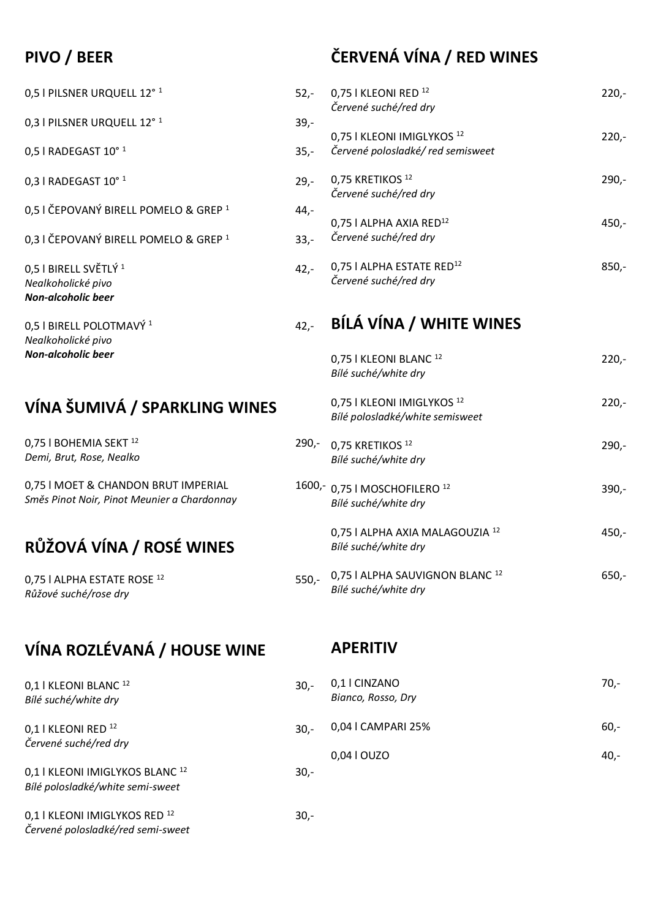#### **PIVO / BEER**

0,5 l PILSNER URQUELL 12°<sup>1</sup> 52

0,3 I PILSNER URQUELL 12°<sup>1</sup> 39,

 $0.5$  l RADEGAST  $10^{\circ}$  <sup>1</sup> 3!

- 0,3 l RADEGAST 10° <sup>1</sup> 29,-
- 0,5 I ČEPOVANÝ BIRELL POMELO & GREP<sup>1</sup> 44
- 0,3 I ČEPOVANÝ BIRELL POMELO & GREP<sup>1</sup> 33

 $0,5$  i BIRELL SVĚTLÝ 1 42,444 *Nealkoholické pivo Non-alcoholic beer*

 $0,5$  I BIRELL POLOTMAVÝ  $1$  42,-*Nealkoholické pivo Non-alcoholic beer*

#### **VÍNA ŠUMIVÁ / SPARKLING WINES**

0,75 I BOHEMIA SEKT<sup>12</sup> 29 *Demi, Brut, Rose, Nealko*

0,75 I MOET & CHANDON BRUT IMPERIAL 160 *Směs Pinot Noir, Pinot Meunier a Chardonnay*

#### **RŮŽOVÁ VÍNA / ROSÉ WINES**

0,75 | ALPHA ESTATE ROSE<sup>12</sup> 550 *Růžové suché/rose dry*

#### **VÍNA ROZLÉVANÁ / HOUSE WINE**

#### **APERITIV**

| 0,1   KLEONI BLANC 12<br>Bílé suché/white dry                                  | $30 -$ | 0,1   CINZANO<br>Bianco, Rosso, Dry | 70,-    |
|--------------------------------------------------------------------------------|--------|-------------------------------------|---------|
| 0,1   KLEONI RED 12<br>Červené suché/red dry                                   | $30 -$ | 0,04   CAMPARI 25%                  | 60.     |
|                                                                                |        | 0,04   OUZO                         | $40, -$ |
| 0,1   KLEONI IMIGLYKOS BLANC <sup>12</sup><br>Bílé polosladké/white semi-sweet | $30 -$ |                                     |         |
| 0,1   KLEONI IMIGLYKOS RED 12<br>Červené polosladké/red semi-sweet             | $30 -$ |                                     |         |

#### **ČERVENÁ VÍNA / RED WINES**

| $2,-$      | BÍLÁ VÍNA / WHITE WINES                                                   |         |
|------------|---------------------------------------------------------------------------|---------|
| 2,-        | 0,75   ALPHA ESTATE RED <sup>12</sup><br>Červené suché/red dry            | $850 -$ |
| 3,-        | 0,75   ALPHA AXIA RED <sup>12</sup><br>Červené suché/red dry              | 450,-   |
| 9,-<br>4,- | 0,75 KRETIKOS <sup>12</sup><br>Červené suché/red dry                      | $290 -$ |
| 5,-        | 0,75   KLEONI IMIGLYKOS <sup>12</sup><br>Červené polosladké/red semisweet | $220 -$ |
| 2,-<br>9,- | 0,75   KLEONI RED <sup>12</sup><br>Červené suché/red dry                  | $220 -$ |
|            |                                                                           |         |

|     | 0,75   KLEONI BLANC <sup>12</sup><br>Bílé suché/white dry                 | $220 -$ |
|-----|---------------------------------------------------------------------------|---------|
|     | 0,75   KLEONI IMIGLYKOS <sup>12</sup><br>Bílé polosladké/white semisweet  | $220 -$ |
| -,0 | 0,75 KRETIKOS <sup>12</sup><br>Bílé suché/white dry                       | $290 -$ |
|     | <sup>00,-</sup> 0,75   MOSCHOFILERO <sup>12</sup><br>Bílé suché/white dry | $390 -$ |
|     | 0,75   ALPHA AXIA MALAGOUZIA 12<br>Bílé suché/white dry                   | 450,-   |
| ٥,- | 0,75   ALPHA SAUVIGNON BLANC <sup>12</sup><br>Bílé suché/white dry        | 650,-   |